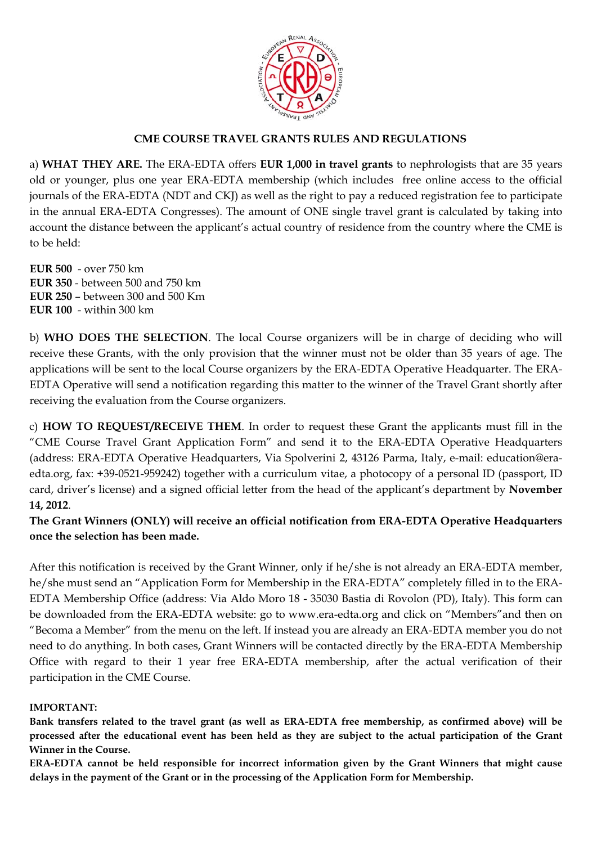

## **CME COURSE TRAVEL GRANTS RULES AND REGULATIONS**

a) **WHAT THEY ARE.** The ERA-EDTA offers **EUR 1,000 in travel grants** to nephrologists that are 35 years old or younger, plus one year ERA-EDTA membership (which includes free online access to the official journals of the ERA-EDTA (NDT and CKJ) as well as the right to pay a reduced registration fee to participate in the annual ERA-EDTA Congresses). The amount of ONE single travel grant is calculated by taking into account the distance between the applicant's actual country of residence from the country where the CME is to be held:

**EUR 500** - over 750 km **EUR 350** - between 500 and 750 km **EUR 250** – between 300 and 500 Km **EUR 100** - within 300 km

b) **WHO DOES THE SELECTION**. The local Course organizers will be in charge of deciding who will receive these Grants, with the only provision that the winner must not be older than 35 years of age. The applications will be sent to the local Course organizers by the ERA-EDTA Operative Headquarter. The ERA-EDTA Operative will send a notification regarding this matter to the winner of the Travel Grant shortly after receiving the evaluation from the Course organizers.

c) **HOW TO REQUEST/RECEIVE THEM**. In order to request these Grant the applicants must fill in the "CME Course Travel Grant Application Form" and send it to the ERA-EDTA Operative Headquarters (address: ERA-EDTA Operative Headquarters, Via Spolverini 2, 43126 Parma, Italy, e-mail: education@eraedta.org, fax: +39-0521-959242) together with a curriculum vitae, a photocopy of a personal ID (passport, ID card, driver's license) and a signed official letter from the head of the applicant's department by **November 14, 2012**.

**The Grant Winners (ONLY) will receive an official notification from ERA-EDTA Operative Headquarters once the selection has been made.** 

After this notification is received by the Grant Winner, only if he/she is not already an ERA-EDTA member, he/she must send an "Application Form for Membership in the ERA-EDTA" completely filled in to the ERA-EDTA Membership Office (address: Via Aldo Moro 18 - 35030 Bastia di Rovolon (PD), Italy). This form can be downloaded from the ERA-EDTA website: go to www.era-edta.org and click on "Members"and then on "Becoma a Member" from the menu on the left. If instead you are already an ERA-EDTA member you do not need to do anything. In both cases, Grant Winners will be contacted directly by the ERA-EDTA Membership Office with regard to their 1 year free ERA-EDTA membership, after the actual verification of their participation in the CME Course.

#### **IMPORTANT:**

**Bank transfers related to the travel grant (as well as ERA-EDTA free membership, as confirmed above) will be processed after the educational event has been held as they are subject to the actual participation of the Grant Winner in the Course.** 

**ERA-EDTA cannot be held responsible for incorrect information given by the Grant Winners that might cause delays in the payment of the Grant or in the processing of the Application Form for Membership.**